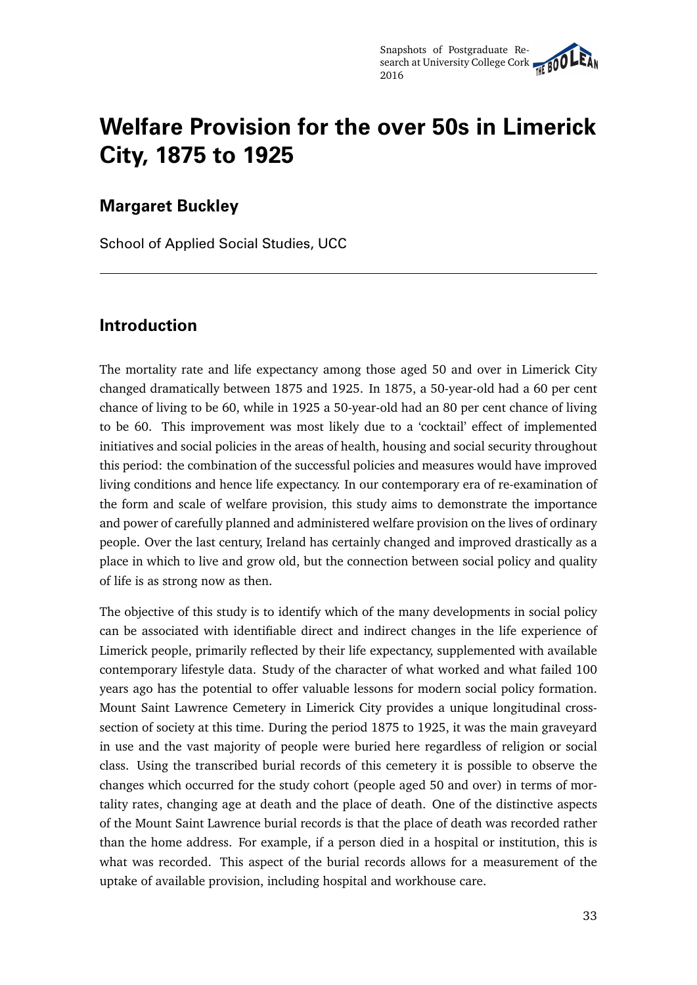# **Welfare Provision for the over 50s in Limerick City, 1875 to 1925**

# **Margaret Buckley**

School of Applied Social Studies, UCC

# **Introduction**

The mortality rate and life expectancy among those aged 50 and over in Limerick City changed dramatically between 1875 and 1925. In 1875, a 50-year-old had a 60 per cent chance of living to be 60, while in 1925 a 50-year-old had an 80 per cent chance of living to be 60. This improvement was most likely due to a 'cocktail' effect of implemented initiatives and social policies in the areas of health, housing and social security throughout this period: the combination of the successful policies and measures would have improved living conditions and hence life expectancy. In our contemporary era of re-examination of the form and scale of welfare provision, this study aims to demonstrate the importance and power of carefully planned and administered welfare provision on the lives of ordinary people. Over the last century, Ireland has certainly changed and improved drastically as a place in which to live and grow old, but the connection between social policy and quality of life is as strong now as then.

The objective of this study is to identify which of the many developments in social policy can be associated with identifiable direct and indirect changes in the life experience of Limerick people, primarily reflected by their life expectancy, supplemented with available contemporary lifestyle data. Study of the character of what worked and what failed 100 years ago has the potential to offer valuable lessons for modern social policy formation. Mount Saint Lawrence Cemetery in Limerick City provides a unique longitudinal crosssection of society at this time. During the period 1875 to 1925, it was the main graveyard in use and the vast majority of people were buried here regardless of religion or social class. Using the transcribed burial records of this cemetery it is possible to observe the changes which occurred for the study cohort (people aged 50 and over) in terms of mortality rates, changing age at death and the place of death. One of the distinctive aspects of the Mount Saint Lawrence burial records is that the place of death was recorded rather than the home address. For example, if a person died in a hospital or institution, this is what was recorded. This aspect of the burial records allows for a measurement of the uptake of available provision, including hospital and workhouse care.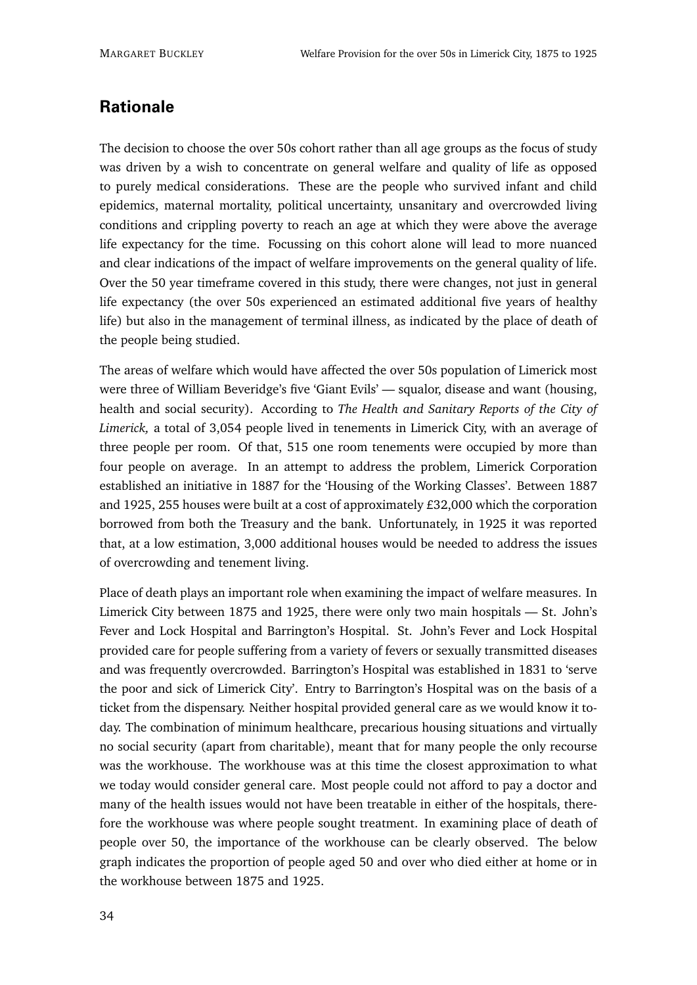# **Rationale**

The decision to choose the over 50s cohort rather than all age groups as the focus of study was driven by a wish to concentrate on general welfare and quality of life as opposed to purely medical considerations. These are the people who survived infant and child epidemics, maternal mortality, political uncertainty, unsanitary and overcrowded living conditions and crippling poverty to reach an age at which they were above the average life expectancy for the time. Focussing on this cohort alone will lead to more nuanced and clear indications of the impact of welfare improvements on the general quality of life. Over the 50 year timeframe covered in this study, there were changes, not just in general life expectancy (the over 50s experienced an estimated additional five years of healthy life) but also in the management of terminal illness, as indicated by the place of death of the people being studied.

The areas of welfare which would have affected the over 50s population of Limerick most were three of William Beveridge's five 'Giant Evils' — squalor, disease and want (housing, health and social security). According to *The Health and Sanitary Reports of the City of Limerick,* a total of 3,054 people lived in tenements in Limerick City, with an average of three people per room. Of that, 515 one room tenements were occupied by more than four people on average. In an attempt to address the problem, Limerick Corporation established an initiative in 1887 for the 'Housing of the Working Classes'. Between 1887 and 1925, 255 houses were built at a cost of approximately £32,000 which the corporation borrowed from both the Treasury and the bank. Unfortunately, in 1925 it was reported that, at a low estimation, 3,000 additional houses would be needed to address the issues of overcrowding and tenement living.

Place of death plays an important role when examining the impact of welfare measures. In Limerick City between 1875 and 1925, there were only two main hospitals — St. John's Fever and Lock Hospital and Barrington's Hospital. St. John's Fever and Lock Hospital provided care for people suffering from a variety of fevers or sexually transmitted diseases and was frequently overcrowded. Barrington's Hospital was established in 1831 to 'serve the poor and sick of Limerick City'. Entry to Barrington's Hospital was on the basis of a ticket from the dispensary. Neither hospital provided general care as we would know it today. The combination of minimum healthcare, precarious housing situations and virtually no social security (apart from charitable), meant that for many people the only recourse was the workhouse. The workhouse was at this time the closest approximation to what we today would consider general care. Most people could not afford to pay a doctor and many of the health issues would not have been treatable in either of the hospitals, therefore the workhouse was where people sought treatment. In examining place of death of people over 50, the importance of the workhouse can be clearly observed. The below graph indicates the proportion of people aged 50 and over who died either at home or in the workhouse between 1875 and 1925.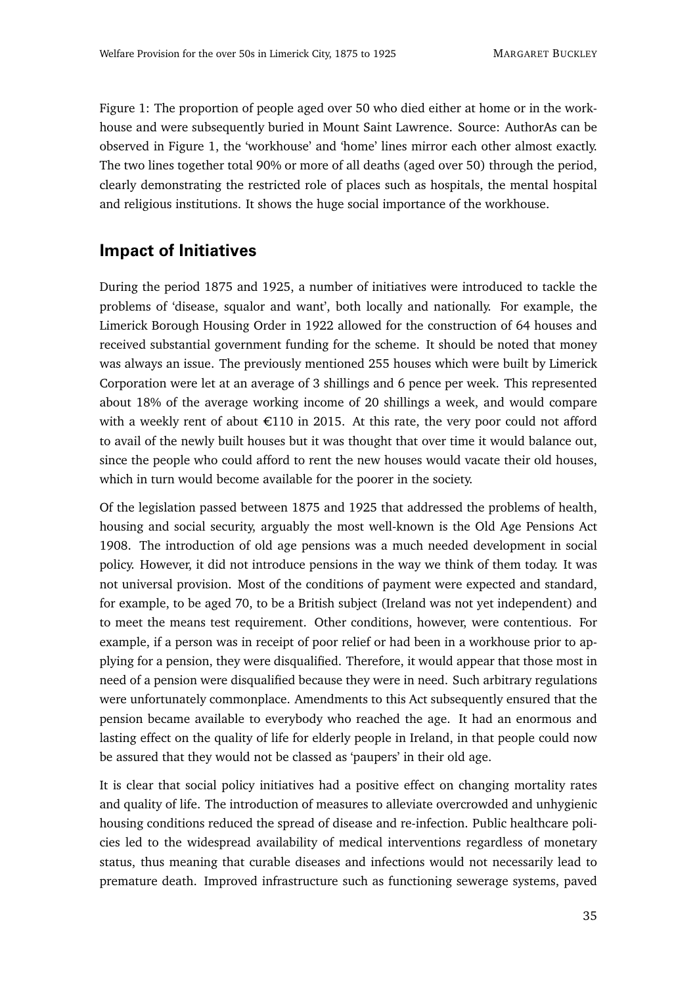Figure 1: The proportion of people aged over 50 who died either at home or in the workhouse and were subsequently buried in Mount Saint Lawrence. Source: AuthorAs can be observed in Figure 1, the 'workhouse' and 'home' lines mirror each other almost exactly. The two lines together total 90% or more of all deaths (aged over 50) through the period, clearly demonstrating the restricted role of places such as hospitals, the mental hospital and religious institutions. It shows the huge social importance of the workhouse.

#### **Impact of Initiatives**

During the period 1875 and 1925, a number of initiatives were introduced to tackle the problems of 'disease, squalor and want', both locally and nationally. For example, the Limerick Borough Housing Order in 1922 allowed for the construction of 64 houses and received substantial government funding for the scheme. It should be noted that money was always an issue. The previously mentioned 255 houses which were built by Limerick Corporation were let at an average of 3 shillings and 6 pence per week. This represented about 18% of the average working income of 20 shillings a week, and would compare with a weekly rent of about  $E110$  in 2015. At this rate, the very poor could not afford to avail of the newly built houses but it was thought that over time it would balance out, since the people who could afford to rent the new houses would vacate their old houses, which in turn would become available for the poorer in the society.

Of the legislation passed between 1875 and 1925 that addressed the problems of health, housing and social security, arguably the most well-known is the Old Age Pensions Act 1908. The introduction of old age pensions was a much needed development in social policy. However, it did not introduce pensions in the way we think of them today. It was not universal provision. Most of the conditions of payment were expected and standard, for example, to be aged 70, to be a British subject (Ireland was not yet independent) and to meet the means test requirement. Other conditions, however, were contentious. For example, if a person was in receipt of poor relief or had been in a workhouse prior to applying for a pension, they were disqualified. Therefore, it would appear that those most in need of a pension were disqualified because they were in need. Such arbitrary regulations were unfortunately commonplace. Amendments to this Act subsequently ensured that the pension became available to everybody who reached the age. It had an enormous and lasting effect on the quality of life for elderly people in Ireland, in that people could now be assured that they would not be classed as 'paupers' in their old age.

It is clear that social policy initiatives had a positive effect on changing mortality rates and quality of life. The introduction of measures to alleviate overcrowded and unhygienic housing conditions reduced the spread of disease and re-infection. Public healthcare policies led to the widespread availability of medical interventions regardless of monetary status, thus meaning that curable diseases and infections would not necessarily lead to premature death. Improved infrastructure such as functioning sewerage systems, paved